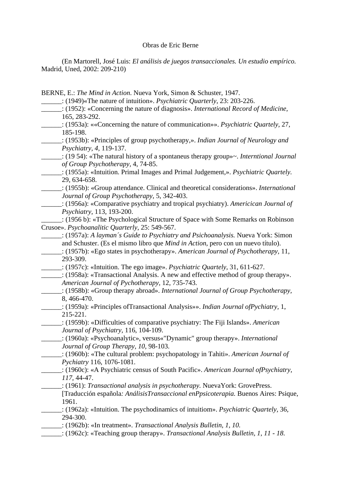## Obras de Eric Berne

 (En Martorell, José Luis: *El análisis de juegos transaccionales. Un estudio empírico.* Madrid, Uned, 2002: 209-210)

BERNE, E.: *The Mind in Action*. Nueva York, Simon & Schuster, 1947.

\_\_\_\_\_\_: (1949)«The nature of intuition». *Psychiatric Quarterly*, 23: 203-226.

- \_\_\_\_\_\_: (1952): «Concerning the nature of diagnosis». *International Record of Medicine,*  165, 283-292.
- \_\_\_\_\_\_: (1953a): ««Concerning the nature of communication»». *Psychiatric Quartely,* 27, 185-198.
- \_\_\_\_\_\_: (1953b): «Principles of group psychotherapy,». *Indian Journal of Neurology and Psychiatry, 4,* 119-137.

\_\_\_\_\_\_: (19 54): «The natural history of a spontaneus therapy group»~. *Interntional Journal of Group Psychotherapy,* 4, 74-85.

\_\_\_\_\_\_: (1955a): «Intuition. Primal Images and Primal Judgement,». *Psychiatric Quartely.*  29, 634-658.

\_\_\_\_\_\_: (1955b): «Group attendance. Clinical and theoretical considerations». *International Journal of Group Psychotherapy*, 5, 342-403.

\_\_\_\_\_\_: (1956a): «Comparative psychiatry and tropical psychiatry). *Americican Journal of Psychiatry,* 113, 193-200.

\_\_\_\_\_\_: (1956 b): «The Psychological Structure of Space with Some Remarks on Robinson Crusoe». *Psychoanalitic Quarterly*, 25: 549-567.

- \_\_\_\_\_\_: (1957a): *A layman´s Guide to Psychiatry and Psichoanalysis.* Nueva York: Simon and Schuster. (Es el mismo libro que *Mind in Action*, pero con un nuevo título).
- \_\_\_\_\_\_: (1957b): «Ego states in psychotherapy». *American Journal of Psychotherapy,* 11, 293-309.
- \_\_\_\_\_\_: (1957c): «Intuition. The ego image». *Psychiatric Quartely,* 31, 611-627.
- \_\_\_\_\_\_: (1958a): «Transactional Analysis. A new and effective method of group therapy».  *American Journal of Pychotherapy,* 12, 735-743.
- \_\_\_\_\_\_: (1958b): «Group therapy abroad». *International Journal of Group Psychotherapy,*  8, 466-470.
- \_\_\_\_\_\_: (1959a): «Principles ofTransactional Analysis»». *Indian Journal ofPychiatry,* 1, 215-221.

\_\_\_\_\_\_: (1959b): «Difficulties of comparative psychiatry: The Fiji Islands». *American Journal of Psychiatry,* 116, 104-109.

\_\_\_\_\_\_: (1960a): «Psychoanalytic», versus«"Dynamic" group therapy». *International Journal of Group Therapy, 10,* 98-103.

- \_\_\_\_\_\_: (1960b): «The cultural problem: psychopatology in Tahiti». *American Journal of Pychiatry* 116, 1076-1081.
- \_\_\_\_\_\_: (1960c): «A Psychiatric census of South Pacific». *American Journal ofPsychiatry, 117,* 44-47.

\_\_\_\_\_\_: (1961): *Transactional analysis in psychotherapy.* NuevaYork: GrovePress.

[Traducción española*: AnálisisTransaccional enPpsicoterapia.* Buenos Aires: Psique, 1961.

\_\_\_\_\_\_: (1962a): «Intuition. The psychodinamics of intuitiom». *Psychiatric Quartely,* 36, 294-300.

\_\_\_\_\_\_: (1962b): «In treatment». *Transactional Analysis Bulletin, 1, 10.* 

*\_\_\_\_\_\_*: (1962c): «Teaching group therapy». *Transactional Analysis Bulletin, 1, 11 - 18*.